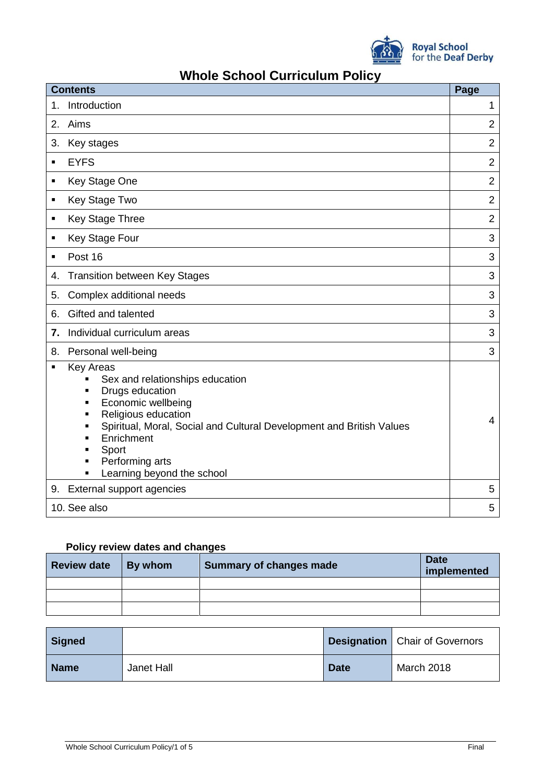

# **Whole School Curriculum Policy**

| <b>Contents</b> |                                                                                                                                                                                                                                                                     |                |  |
|-----------------|---------------------------------------------------------------------------------------------------------------------------------------------------------------------------------------------------------------------------------------------------------------------|----------------|--|
| 1.              | Introduction                                                                                                                                                                                                                                                        | 1              |  |
| 2.              | Aims                                                                                                                                                                                                                                                                |                |  |
| 3.              | Key stages                                                                                                                                                                                                                                                          |                |  |
| $\blacksquare$  | <b>EYFS</b>                                                                                                                                                                                                                                                         | $\overline{2}$ |  |
| $\blacksquare$  | Key Stage One                                                                                                                                                                                                                                                       |                |  |
| ٠               | Key Stage Two                                                                                                                                                                                                                                                       |                |  |
| ٠               | <b>Key Stage Three</b>                                                                                                                                                                                                                                              | $\overline{2}$ |  |
| ٠               | Key Stage Four                                                                                                                                                                                                                                                      | 3              |  |
|                 | Post 16                                                                                                                                                                                                                                                             | 3              |  |
| 4.              | <b>Transition between Key Stages</b>                                                                                                                                                                                                                                |                |  |
| 5.              | Complex additional needs                                                                                                                                                                                                                                            |                |  |
| 6.              | Gifted and talented                                                                                                                                                                                                                                                 |                |  |
| 7.              | Individual curriculum areas                                                                                                                                                                                                                                         |                |  |
| 8.              | Personal well-being                                                                                                                                                                                                                                                 | 3              |  |
| $\blacksquare$  | <b>Key Areas</b><br>Sex and relationships education<br>Drugs education<br>Economic wellbeing<br>Religious education<br>Spiritual, Moral, Social and Cultural Development and British Values<br>Enrichment<br>Sport<br>Performing arts<br>Learning beyond the school | 4              |  |
| 9.              | External support agencies                                                                                                                                                                                                                                           | 5              |  |
| 10. See also    |                                                                                                                                                                                                                                                                     |                |  |

# **Policy review dates and changes**

| <b>Review date</b> | <b>By whom</b> | Summary of changes made | <b>Date</b><br>implemented |
|--------------------|----------------|-------------------------|----------------------------|
|                    |                |                         |                            |
|                    |                |                         |                            |
|                    |                |                         |                            |

| <b>Signed</b> |            |             | <b>Designation</b>   Chair of Governors |
|---------------|------------|-------------|-----------------------------------------|
| <b>Name</b>   | Janet Hall | <b>Date</b> | March 2018                              |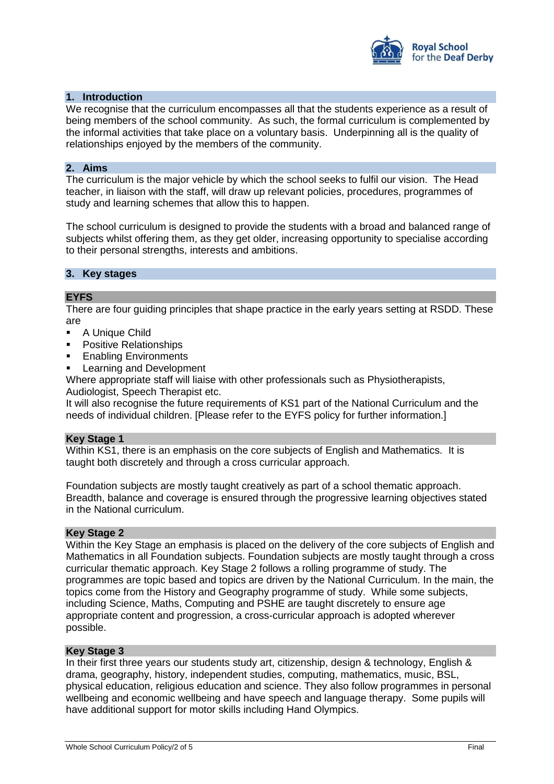

# **1. Introduction**

We recognise that the curriculum encompasses all that the students experience as a result of being members of the school community. As such, the formal curriculum is complemented by the informal activities that take place on a voluntary basis. Underpinning all is the quality of relationships enjoyed by the members of the community.

#### **2. Aims**

The curriculum is the major vehicle by which the school seeks to fulfil our vision. The Head teacher, in liaison with the staff, will draw up relevant policies, procedures, programmes of study and learning schemes that allow this to happen.

The school curriculum is designed to provide the students with a broad and balanced range of subjects whilst offering them, as they get older, increasing opportunity to specialise according to their personal strengths, interests and ambitions.

#### **3. Key stages**

# **EYFS**

There are four guiding principles that shape practice in the early years setting at RSDD. These are

- A Unique Child
- **Positive Relationships**
- **Enabling Environments**
- **Learning and Development**

Where appropriate staff will liaise with other professionals such as Physiotherapists, Audiologist, Speech Therapist etc.

It will also recognise the future requirements of KS1 part of the National Curriculum and the needs of individual children. [Please refer to the EYFS policy for further information.]

#### **Key Stage 1**

Within KS1, there is an emphasis on the core subjects of English and Mathematics. It is taught both discretely and through a cross curricular approach.

Foundation subjects are mostly taught creatively as part of a school thematic approach. Breadth, balance and coverage is ensured through the progressive learning objectives stated in the National curriculum.

#### **Key Stage 2**

Within the Key Stage an emphasis is placed on the delivery of the core subjects of English and Mathematics in all Foundation subjects. Foundation subjects are mostly taught through a cross curricular thematic approach. Key Stage 2 follows a rolling programme of study. The programmes are topic based and topics are driven by the National Curriculum. In the main, the topics come from the History and Geography programme of study. While some subjects, including Science, Maths, Computing and PSHE are taught discretely to ensure age appropriate content and progression, a cross-curricular approach is adopted wherever possible.

#### **Key Stage 3**

In their first three years our students study art, citizenship, design & technology, English & drama, geography, history, independent studies, computing, mathematics, music, BSL, physical education, religious education and science. They also follow programmes in personal wellbeing and economic wellbeing and have speech and language therapy. Some pupils will have additional support for motor skills including Hand Olympics.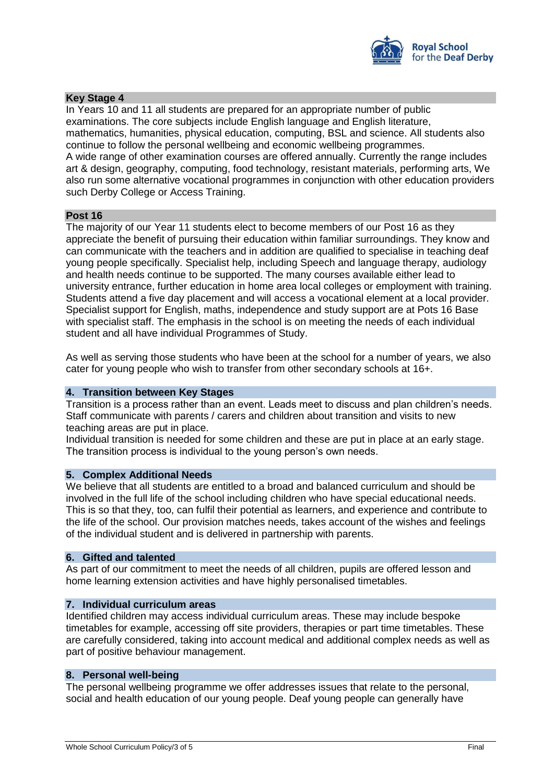

#### **Key Stage 4**

In Years 10 and 11 all students are prepared for an appropriate number of public examinations. The core subjects include English language and English literature, mathematics, humanities, physical education, computing, BSL and science. All students also continue to follow the personal wellbeing and economic wellbeing programmes. A wide range of other examination courses are offered annually. Currently the range includes art & design, geography, computing, food technology, resistant materials, performing arts, We also run some alternative vocational programmes in conjunction with other education providers such Derby College or Access Training.

#### **Post 16**

The majority of our Year 11 students elect to become members of our Post 16 as they appreciate the benefit of pursuing their education within familiar surroundings. They know and can communicate with the teachers and in addition are qualified to specialise in teaching deaf young people specifically. Specialist help, including Speech and language therapy, audiology and health needs continue to be supported. The many courses available either lead to university entrance, further education in home area local colleges or employment with training. Students attend a five day placement and will access a vocational element at a local provider. Specialist support for English, maths, independence and study support are at Pots 16 Base with specialist staff. The emphasis in the school is on meeting the needs of each individual student and all have individual Programmes of Study.

As well as serving those students who have been at the school for a number of years, we also cater for young people who wish to transfer from other secondary schools at 16+.

#### **4. Transition between Key Stages**

Transition is a process rather than an event. Leads meet to discuss and plan children's needs. Staff communicate with parents / carers and children about transition and visits to new teaching areas are put in place.

Individual transition is needed for some children and these are put in place at an early stage. The transition process is individual to the young person's own needs.

# **5. Complex Additional Needs**

We believe that all students are entitled to a broad and balanced curriculum and should be involved in the full life of the school including children who have special educational needs. This is so that they, too, can fulfil their potential as learners, and experience and contribute to the life of the school. Our provision matches needs, takes account of the wishes and feelings of the individual student and is delivered in partnership with parents.

#### **6. Gifted and talented**

As part of our commitment to meet the needs of all children, pupils are offered lesson and home learning extension activities and have highly personalised timetables.

#### **7. Individual curriculum areas**

Identified children may access individual curriculum areas. These may include bespoke timetables for example, accessing off site providers, therapies or part time timetables. These are carefully considered, taking into account medical and additional complex needs as well as part of positive behaviour management.

# **8. Personal well-being**

The personal wellbeing programme we offer addresses issues that relate to the personal, social and health education of our young people. Deaf young people can generally have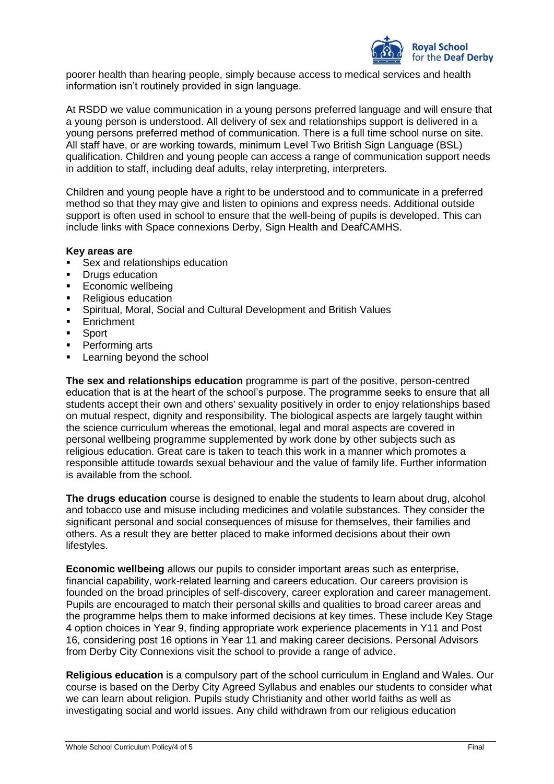

poorer health than hearing people, simply because access to medical services and health information isn't routinely provided in sign language.

At RSDD we value communication in a young persons preferred language and will ensure that a young person is understood. All delivery of sex and relationships support is delivered in a young persons preferred method of communication. There is a full time school nurse on site. All staff have, or are working towards, minimum Level Two British Sign Language (BSL) qualification. Children and young people can access a range of communication support needs in addition to staff, including deaf adults, relay interpreting, interpreters.

Children and young people have a right to be understood and to communicate in a preferred method so that they may give and listen to opinions and express needs. Additional outside support is often used in school to ensure that the well-being of pupils is developed. This can include links with Space connexions Derby, Sign Health and DeafCAMHS.

# **Key areas are**

- Sex and relationships education
- **Drugs education**
- **Economic wellbeing**
- **Religious education**
- Spiritual, Moral, Social and Cultural Development and British Values
- Enrichment
- Sport
- Performing arts
- Learning beyond the school

**The sex and relationships education** programme is part of the positive, person-centred education that is at the heart of the school's purpose. The programme seeks to ensure that all students accept their own and others' sexuality positively in order to enjoy relationships based on mutual respect, dignity and responsibility. The biological aspects are largely taught within the science curriculum whereas the emotional, legal and moral aspects are covered in personal wellbeing programme supplemented by work done by other subjects such as religious education. Great care is taken to teach this work in a manner which promotes a responsible attitude towards sexual behaviour and the value of family life. Further information is available from the school.

**The drugs education** course is designed to enable the students to learn about drug, alcohol and tobacco use and misuse including medicines and volatile substances. They consider the significant personal and social consequences of misuse for themselves, their families and others. As a result they are better placed to make informed decisions about their own lifestyles.

**Economic wellbeing** allows our pupils to consider important areas such as enterprise, financial capability, work-related learning and careers education. Our careers provision is founded on the broad principles of self-discovery, career exploration and career management. Pupils are encouraged to match their personal skills and qualities to broad career areas and the programme helps them to make informed decisions at key times. These include Key Stage 4 option choices in Year 9, finding appropriate work experience placements in Y11 and Post 16, considering post 16 options in Year 11 and making career decisions. Personal Advisors from Derby City Connexions visit the school to provide a range of advice.

**Religious education** is a compulsory part of the school curriculum in England and Wales. Our course is based on the Derby City Agreed Syllabus and enables our students to consider what we can learn about religion. Pupils study Christianity and other world faiths as well as investigating social and world issues. Any child withdrawn from our religious education